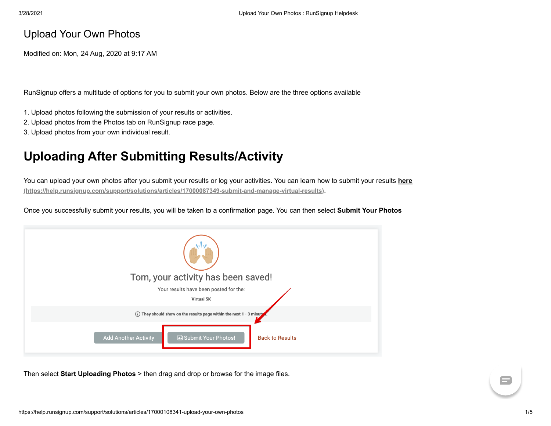## Upload Your Own Photos

Modified on: Mon, 24 Aug, 2020 at 9:17 AM

RunSignup offers a multitude of options for you to submit your own photos. Below are the three options available

- 1. Upload photos following the submission of your results or activities.
- 2. Upload photos from the Photos tab on RunSignup race page.
- 3. Upload photos from your own individual result.

## **Uploading After Submitting Results/Activity**

[You can upload your own photos after you submit your results or log your activities. You can learn how to submit your results](https://help.runsignup.com/support/solutions/articles/17000087349-submit-and-manage-virtual-results) **here (https://help.runsignup.com/support/solutions/articles/17000087349-submit-and-manage-virtual-results)**.

Once you successfully submit your results, you will be taken to a confirmation page. You can then select **Submit Your Photos** 



Then select **Start Uploading Photos** > then drag and drop or browse for the image files.

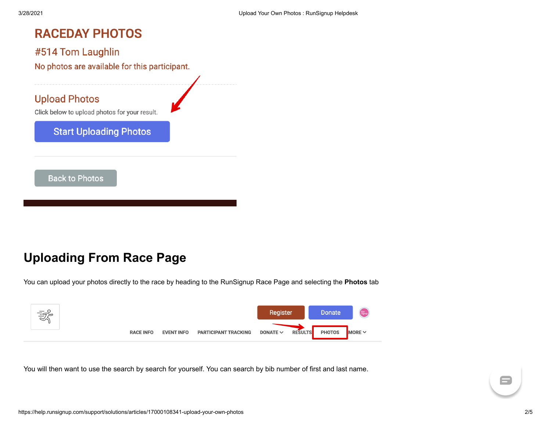# **RACEDAY PHOTOS**

#### #514 Tom Laughlin

No photos are available for this participant.

### **Upload Photos**

Click below to upload photos for your result.

#### **Start Uploading Photos**

**Back to Photos** 

# **Uploading From Race Page**

You can upload your photos directly to the race by heading to the RunSignup Race Page and selecting the **Photos** tab



You will then want to use the search by search for yourself. You can search by bib number of first and last name.

 $\blacksquare$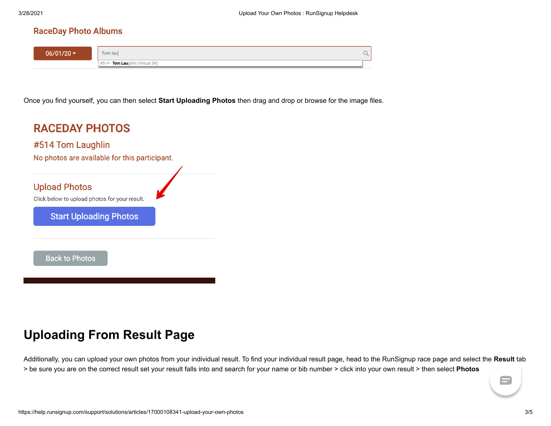#### **RaceDay Photo Albums**

| $06/01/20$ $\sim$ | Tom laul                             |  |
|-------------------|--------------------------------------|--|
|                   | - Tom Laughlin (Virtual 5K,<br>$+#5$ |  |

Once you find yourself, you can then select **Start Uploading Photos** then drag and drop or browse for the image files.



# **Uploading From Result Page**

Additionally, you can upload your own photos from your individual result. To find your individual result page, head to the RunSignup race page and select the **Result** tab > be sure you are on the correct result set your result falls into and search for your name or bib number > click into your own result > then select **Photos**

 $\blacksquare$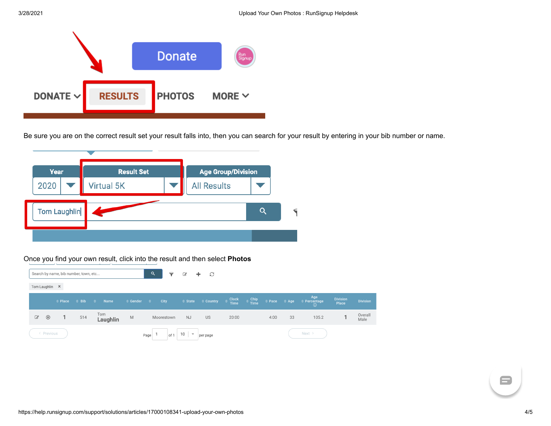

Be sure you are on the correct result set your result falls into, then you can search for your result by entering in your bib number or name.



Once you find your own result, click into the result and then select **Photos**

|              |                |                   | Search by name, bib number, town, etc |                    |                          | Q                 | ◒           | €                              | $\mathcal{C}$<br>÷.                                       |       |                                              |                                    |    |                                        |                          |                 |
|--------------|----------------|-------------------|---------------------------------------|--------------------|--------------------------|-------------------|-------------|--------------------------------|-----------------------------------------------------------|-------|----------------------------------------------|------------------------------------|----|----------------------------------------|--------------------------|-----------------|
|              | Tom Laughlin X |                   |                                       |                    |                          |                   |             |                                |                                                           |       |                                              |                                    |    |                                        |                          |                 |
|              |                | $\triangle$ Place | $\hat{=}$ Bib                         | <b>Name</b><br>∴ ≜ | $\Leftrightarrow$ Gender | <b>STATISTICS</b> | <b>City</b> |                                | $\hat{z}$ State $\hat{z}$ Country $\hat{z}$ Clock<br>Time |       | $\triangleq \frac{\text{Chip}}{\text{Time}}$ | $\hat{\phi}$ Pace $\hat{\phi}$ Age |    | Age<br><b>≑ Percentage</b><br>$\Omega$ | <b>Division</b><br>Place | <b>Division</b> |
| $\mathcal Q$ | $^{\circledR}$ | 1                 | 514                                   | Tom<br>Laughlin    | M                        |                   | Moorestown  | <b>NJ</b>                      | <b>US</b>                                                 | 20:00 |                                              | 4:00                               | 33 | 105.2                                  |                          | Overall<br>Male |
|              | < Previous     |                   |                                       |                    |                          | Page              | of 1        | 10<br>$\overline{\phantom{a}}$ | per page                                                  |       |                                              |                                    |    | Next >                                 |                          |                 |

 $\blacksquare$